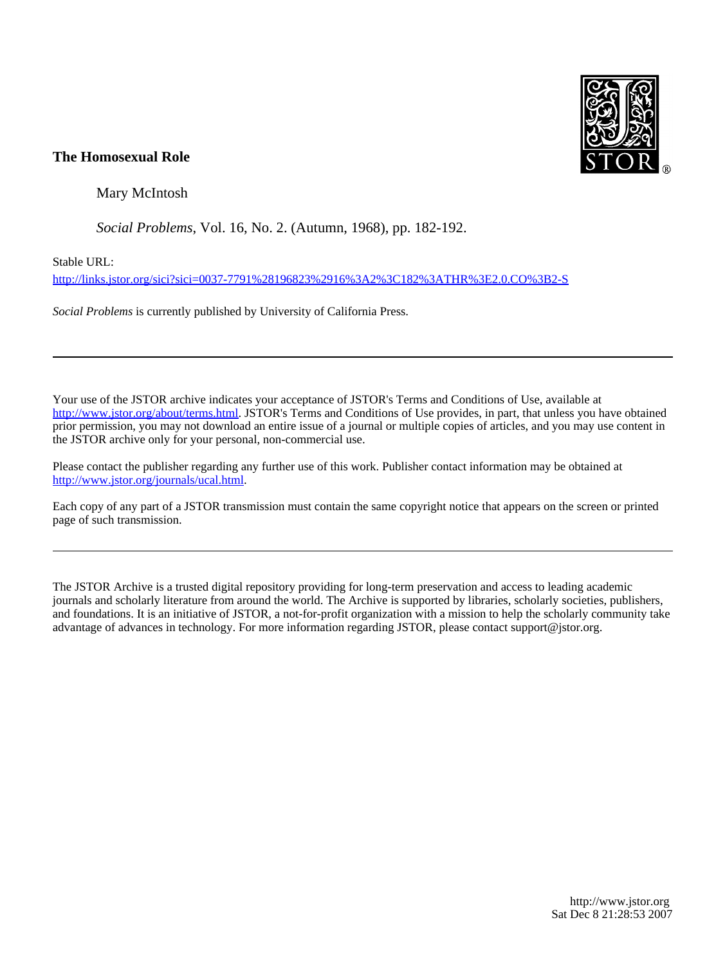

# **The Homosexual Role**

Mary McIntosh

*Social Problems*, Vol. 16, No. 2. (Autumn, 1968), pp. 182-192.

Stable URL:

<http://links.jstor.org/sici?sici=0037-7791%28196823%2916%3A2%3C182%3ATHR%3E2.0.CO%3B2-S>

*Social Problems* is currently published by University of California Press.

Your use of the JSTOR archive indicates your acceptance of JSTOR's Terms and Conditions of Use, available at [http://www.jstor.org/about/terms.html.](http://www.jstor.org/about/terms.html) JSTOR's Terms and Conditions of Use provides, in part, that unless you have obtained prior permission, you may not download an entire issue of a journal or multiple copies of articles, and you may use content in the JSTOR archive only for your personal, non-commercial use.

Please contact the publisher regarding any further use of this work. Publisher contact information may be obtained at <http://www.jstor.org/journals/ucal.html>.

Each copy of any part of a JSTOR transmission must contain the same copyright notice that appears on the screen or printed page of such transmission.

The JSTOR Archive is a trusted digital repository providing for long-term preservation and access to leading academic journals and scholarly literature from around the world. The Archive is supported by libraries, scholarly societies, publishers, and foundations. It is an initiative of JSTOR, a not-for-profit organization with a mission to help the scholarly community take advantage of advances in technology. For more information regarding JSTOR, please contact support@jstor.org.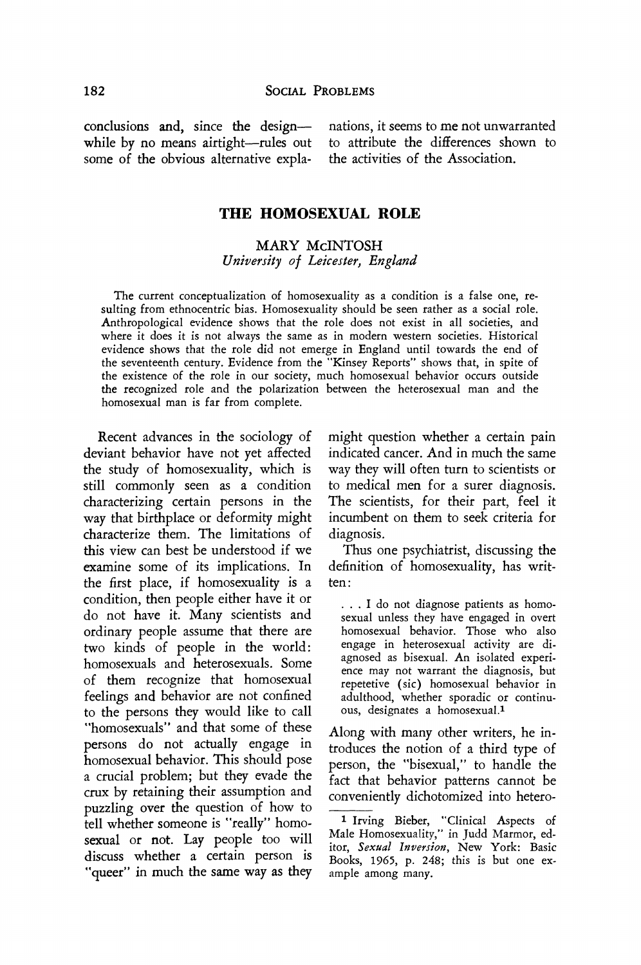conclusions and, since the design- nations, it seems to me not unwarranted some of the obvious alternative expla- the activities of the Association.

while by no means airtight-rules out to attribute the differences shown to

#### **THE HOMOSEXUAL ROLE**

#### MARY McINTOSH *University of Leicester, England*

The current conceptualization of homosexuality as a condition is a false one, resulting from ethnocentric bias. Homosexuality should be seen rather as a social role. Anthropological evidence shows that the role does not exist in all societies, and where it does it is not always the same as in modern western societies. Historical evidence shows that the role did not emerge in England until towards the end of the seventeenth century. Evidence from the "Kinsey Reports" shows that, in spite of the existence of the role in our society, much homosexual behavior occurs outside the recognized role and the polarization between the heterosexual man and the homosexual man is far from complete.

Recent advances in the sociology of deviant behavior have not yet affected the study of homosexuality, which is still commonly seen as a condition characterizing certain persons in the way that birthplace or deformity might characterize them. The limitations of this view can best be understood if we examine some of its implications. In the first place, if homosexuality is a condition, then people either have it or do not have it. Many scientists and ordinary people assume that there are two kinds of people in the world: homosexuals and heterosexuals. Some of them recognize that homosexual feelings and behavior are not confined to the persons they would like to call "homosexuals" and that some of these persons do not actually engage in homosexual behavior. This should pose a crucial problem; but they evade the crux by retaining their assumption and puzzling over the question of how to tell whether someone is "really" homosexual or not. Lay people too will discuss whether a certain person is "queer" in much the same way as they might question whether a certain pain indicated cancer. And in much the same way they will often turn to scientists or to medical men for a surer diagnosis. The scientists, for their part, feel it incumbent on them to seek criteria for diagnosis.

Thus one psychiatrist, discussing the definition of homosexuality, has written :

. . . I do not diagnose patients as homosexual unless they have engaged in overt homosexual behavior. Those who also engage in heterosexual activity are diagnosed as bisexual. An isolated experience may not warrant the diagnosis, but repetetive (sic) homosexual behavior in adulthood, whether sporadic or continuous, designates a homosexual.1

Along with many other writers, he introduces the notion of a third type of person, the "bisexual," to handle the fact that behavior patterns cannot be conveniently dichotomized into hetero-

**<sup>1</sup>** Irving Bieber, "Clinical Aspects of Male Homosexuality," in Judd Marmor, editor, *Sexual Inversion,* New York: Basic Books, 1965, p. 248; this is but one example among many.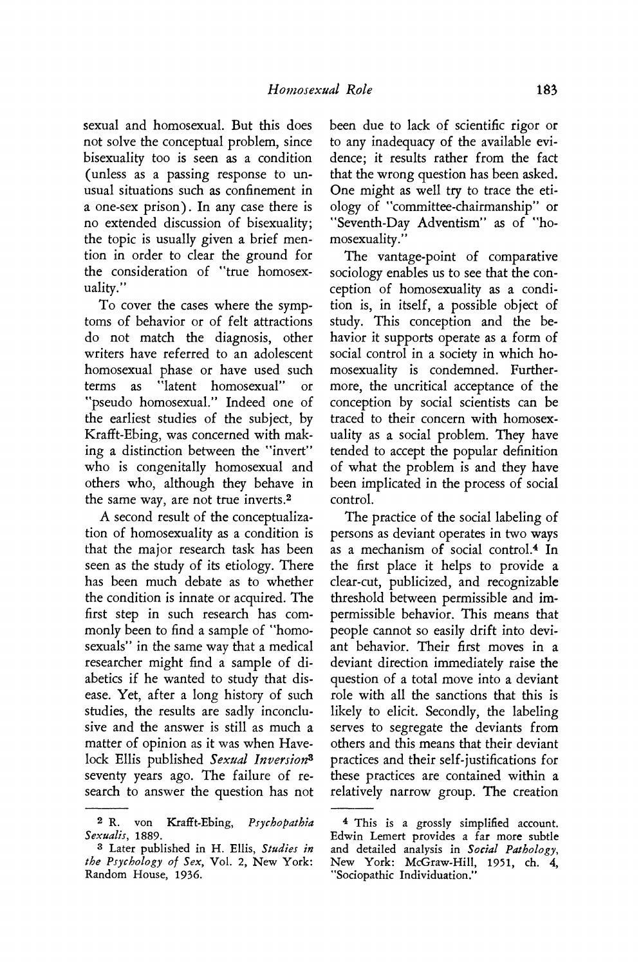sexual and homosexual. But this does not solve the conceptual problem, since bisexuality too is seen as a condition (unless as a passing response to unusual situations such as confinement in a one-sex prison). In any case there is no extended discussion of bisexuality; the topic is usually given a brief mention in order to clear the ground for the consideration of "true homosexuality.''

To cover the cases where the symptoms of behavior or of felt attractions do not match the diagnosis, other writers have referred to an adolescent homosexual phase or have used such terms as "latent homosexual" or "pseudo homosexual." Indeed one of the earliest studies of the subject, by Krafft-Ebing, was concerned with making a distinction between the "invert" who is congenitally homosexual and others who, although they behave in the same way, are not true inverts.<sup>2</sup>

A second result of the conceptualization of homosexualitv as a condition is that the major research task has been seen as the study of its etiology. There has been much debate as to whether the condition is innate or acquired. The first step in such research has commonly been to find a sample of "homosexuals" in the same way that a medical researcher might find a sample of diabetics if he wanted to study that disease. Yet, after a long history of such studies, the results are sadly inconclusive and the answer is still as much a matter of opinion as it was when Havelock Ellis published *Sexual Inversions*  seventy years ago. The failure of research to answer the question has not been due to lack of scientific rigor or to any inadequacy of the available evidence; it results rather from the fact that the wrong question has been asked. One might as well try to trace the etiology of "committee-chairmanship" or "Seventh-Day Adventism" as of "homosexuality."

The vantage-point of comparative sociology enables us to see that the conception of homosexuality as a condition is, in itself, a possible object of study. This conception and the behavior it supports operate as a form of social control in a society in which homosexuality is condemned. Furthermore, the uncritical acceptance of the conception by social scientists can be traced to their concern with homosexuality as a social problem. They have tended to accept the popular definition of what the problem is and they have been implicated in the process of social control.

The practice of the social labeling of persons-as deviant operates in two ways as a mechanism of social control.4 In the first place it helps to provide a clear-cut, publicized, and recognizable threshold between permissible and impermissible behavior. This means that people cannot so easily drift into deviant behavior. Their first moves in a deviant direction immediatelv raise the question of a total move into a deviant role with all the sanctions that this is likely to elicit. Secondly, the labeling serves to segregate the deviants from others and this means that their deviant practices and their self-justifications for these practices are contained within a relatively narrow group. The creation

<sup>2</sup> R. von Krafft-Ebing, *Psgchopathia Sexualis,* 1889.

**<sup>3</sup>** Later published in H. Ellis, *Studies* in *the Psychology of Sex,* Vol. 2, New York: Random House, 1936.

<sup>4</sup> This is a grossly simplified account. Edwin Lemert provides a far more subtle and detailed analysis in *Social Pathology,*  New York: McGraw-Hill, 1951, ch. 4, "Sociopathic Individuation."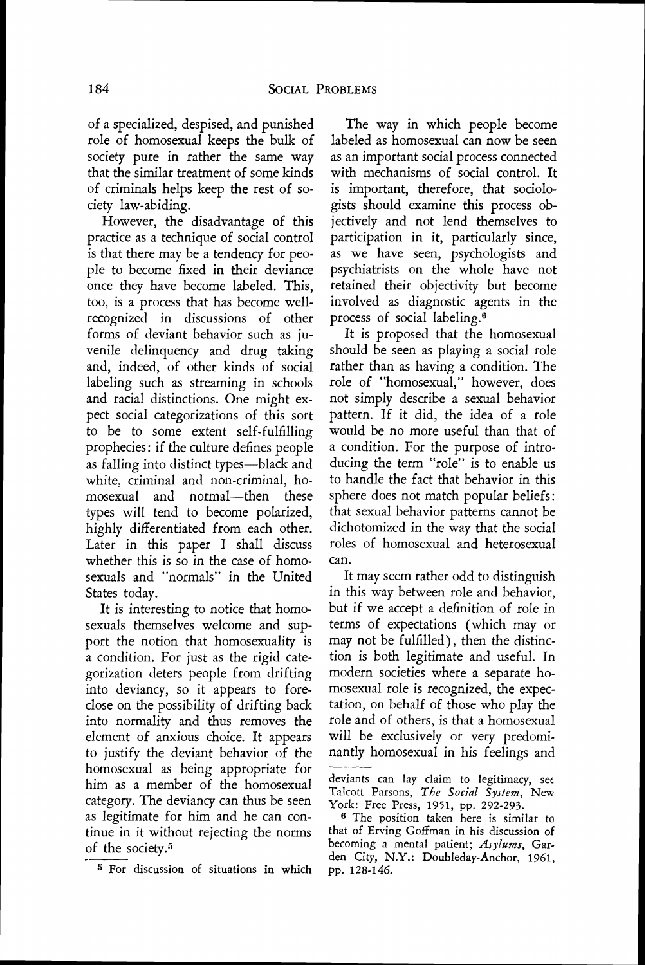of a specialized, despised, and punished role of homosexual keeps the bulk of society pure in rather the same way that the similar treatment of some kinds of criminals helps keep the rest of society law-abiding.

However, the disadvantage of this practice as a technique of social control is that there may be a tendency for people to become fixed in their deviance once they have become labeled. This, too, is a-process that has become wellrecognized in discussions of other forms of deviant behavior such as juvenile delinquency and drug taking and, indeed, of other kinds of social labeling such as streaming in schools and racial distinctions. One might expect social categorizations of this sort to be to some extent self-fulfilling prophecies: if the culture defines as falling into distinct types-black and white, criminal and non-criminal, ho-<br>mosexual and normal—then these mosexual and types will tend to become polarized, highly differentiated from each other. Later in this paper I shall discuss whether this is so in the case of homosexuals and "normals" in the United States today.

of the society.<sup>5</sup> It is interesting to notice that homosexuals themselves welcome and support the notion that homosexuality is a condition. For just as the rigid categorization deters people from drifting into deviancy, so it appears to foreclose on the possibility of drifting back into normality and thus removes the element of anxious choice. It appears to justify the deviant behavior of the homosexual as being appropriate for him as a member of the homosexual category. The deviancy can thus be seen as legitimate for him and he can continue in it without rejecting the norms

The way in which people become labeled as homosexual can now be seen as an important social process connected with mechanisms of social control. It is important, therefore, that sociologists should examine this process objectively and not lend themselves to participation in it, particularly since, as we have seen, psychologists and psychiatrists on the whole have not retained their objectivity but become involved as diagnostic agents in the process of social labeling.6

It is proposed that the homosexual should be seen as playing a social role rather than as having a condition. The role of "homosexual," however, does not simply describe a sexual behavior pattern. If it did, the idea of a role would be no more useful than that of a condition. For the purpose of introducing the term "role" is to enable us to handle the fact that behavior in this sphere does not match popular beliefs: that sexual behavior patterns cannot be dichotomized in the way that the social roles of homosexual and heterosexual can.

It may seem rather odd to distinguish in this way between role and behavior, but if we accept a definition of role in terms of expectations (which may or may not be fulfilled), then the distinction is both legitimate and useful. Tn modern societies where a separate homosexual role is recognized, the expectation, on behalf of those who play the role and of others, is that a homosexual will be exclusively or very predomi may not<br>tion is b<br>modern s<br>mosexual<br>tation, or<br>role and<br>will be<br>deviants<br>ralcott Pa nantly homosexual in his feelings and

**<sup>6</sup>** For discussion of situations in which

deviants can lay claim to legitimacy, set Talcott Parsons, *The Social System,* New York: Free Press, 1951, pp. 292-293.

<sup>6</sup> The position taken here is similar to that of Erving Goffman in his discussion of becoming a mental patient; *Asylums,* Garden City, N.Y.: Doubleday-Anchor, 1961, pp. 128-146.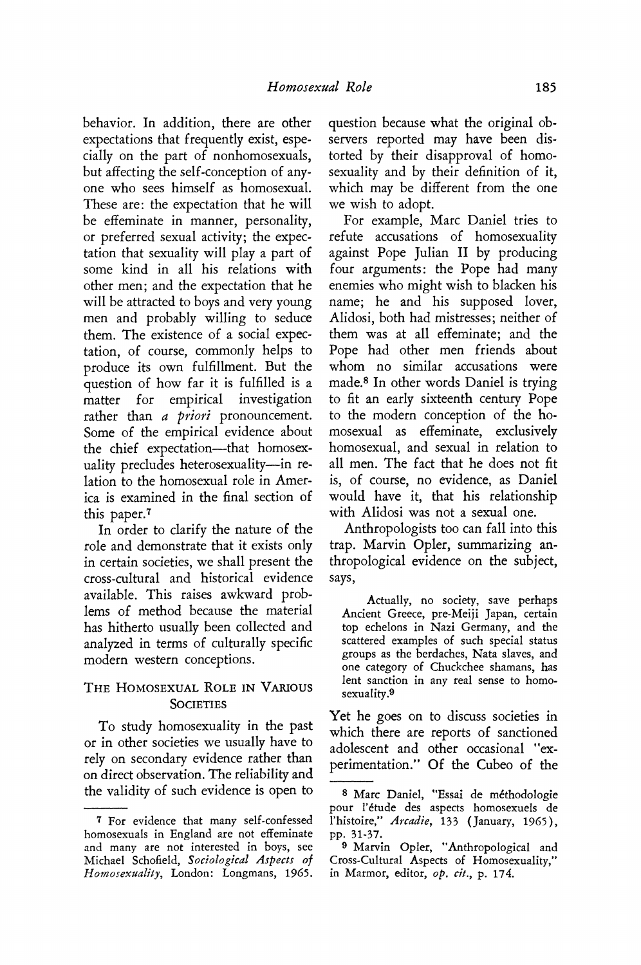behavior. In addition, there are other expectations that frequently exist, especially on the part of nonhomosexuals, but affecting the self-conception of anyone who sees himself as homosexual. These are: the expectation that he will be effeminate in manner, personality, or preferred sexual activity; the expectation that sexuality will play a part of some kind in all his relations with other men; and the expectation that he will be attracted to boys and very young men and probably willing to seduce them. The existence of a social expectation, of course, commonly helps to produce its own fulfillment. But the question of how far it is fulfilled is a matter for empirical investigation rather than *a priori* pronouncement. Some of the empirical evidence about the chief expectation-that homosexuality precludes heterosexuality-in relation to the homosexual role in America is examined in the final section of this paper.7

In order to clarify the nature of the role and demonstrate that it exists only in certain societies, we shall present the cross-cultural and historical evidence available. This raises awkward problems of method because the material has hitherto usually been collected and analyzed in terms of culturally specific modern western conceptions.

## THE HOMOSEXUAL ROLE IN VARIOUS **SOCIETIES**

To study homosexuality in the past or in other societies we usually have to rely on secondary evidence rather than on direct observation. The reIiability and the validity of such evidence is open to question because what the original observers reported may have been distorted by their disapproval of homosexuality and by their definition of it, which mav be different from the one we wish to adopt.

For example, Marc Daniel tries to refute accusations of homosexuality against Pope Julian I1 by producing four arguments: the Pope had many enemies who might wish to blacken his name; he and his supposed lover, Alidosi, both had mistresses; neither of them was at all effeminate; and the Pope had other men friends about whom no similar accusations were made.8 In other words Daniel is trying to fit an early sixteenth century Pope to the modern conception of the homosexual as effeminate, exclusively homosexual, and sexual in relation to all men. The fact that he does not fit is, of course, no evidence, as Daniel would have it, that his relationship with Alidosi was not a sexual one.

Anthropologists too can fall into this trap. Marvin Opler, summarizing anthropological evidence on the subject, says.

Actually, no society, save perhaps Ancient Greece, pre-hleiji Japan, certain top echelons in Nazi Germany, and the scattered examples of such special status groups as the berdaches, Nata slaves, and one category of Chuckchee shamans, has lent sanction in any real sense to homosexuality.<sup>9</sup>

Yet he goes on to discuss societies in which there are reports of sanctioned adolescent and other occasional "experimentation." Of the Cubeo of the

<sup>7</sup> For evidence that many self-confessed homosexuals in England are not effeminate and manv are not interested in boys, see Michael Schofield, *Sociological Aspects* of *Ilornosexunlity,* London: Longmans, *1965.* 

<sup>8</sup> Marc Daniel, "Essai de méthodologie pour l'6tude des aspects homosexuels de l'histoire," *Arcadie,* 133 (January, 1965), pp. **31-37.** 

<sup>9</sup> Marvin Opler, "Anthropological and Cross-Cultural Aspects of Homosexuality," in Marmor, editor, *op. rit.,* p. *174.*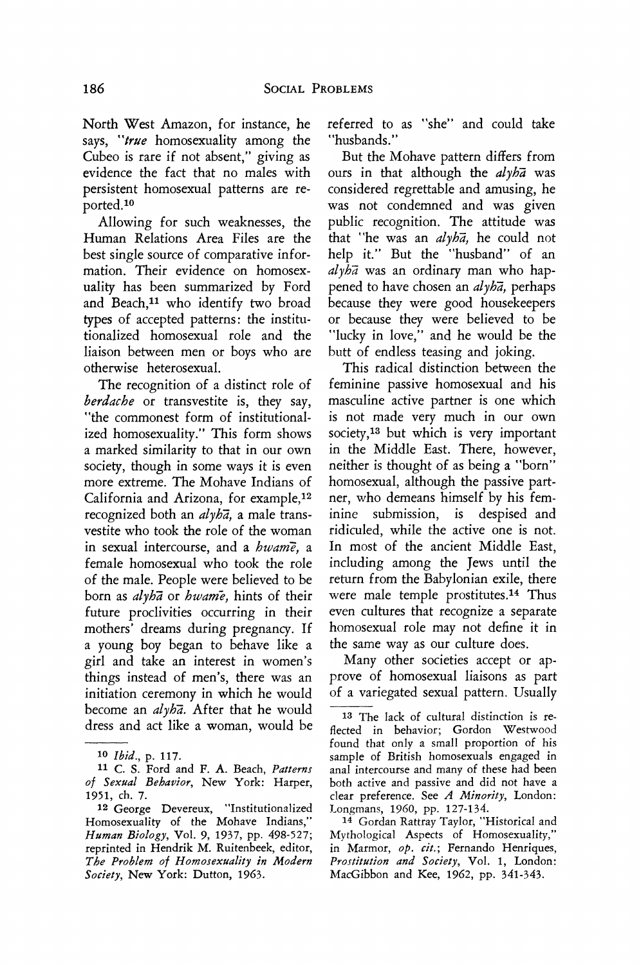North West Amazon, for instance, he says, *"true* homosexuality among the Cubeo is rare if not absent," giving as evidence the fact that no males with persistent homosexual patterns are reported.10

Allowing for such weaknesses, the Human Relations Area Files are the best single source of comparative information. Their evidence on homosexuality has been summarized by Ford and Beach,<sup>11</sup> who identify two broad types of accepted patterns: the institutionalized homosexual role and the liaison between men or boys who are otherwise heterosexual.

The recognition of a distinct role of *berdache* or transvestite is, they say, "the commonest form of institutionalized homosexuality." This form shows a marked similarity to that in our own society, though in some ways it is even more extreme. The Mohave Indians of California and Arizona, for example,<sup>12</sup> recognized both an *alyhz,* a male transvestite who took the role of the woman in sexual intercourse, and a *hwame*, a female homosexual who took the role of the male. People were believed to be born as *alyha* or *hwame*, hints of their future proclivities occurring in their mothers' dreams during pregnancy. If a young boy began to behave like a girl and take an interest in women's things instead of men's, there was an initiation ceremony in which he would become an *alyhz.* After that he would dress and act like a woman, would be referred to as "she" and could take "husbands."

But the Mohave pattern differs from ours in that although the *alyha* was considered regrettable and amusing, he was not condemned and was given public recognition. The attitude was that "he was an *alyha*, he could not help it." But the "husband" of an *alyhZ* was an ordinary man who happened to have chosen an *alyha*, perhaps because they were good housekeepers or because they were believed to be "lucky in love," and he would be the butt of endless teasing and joking.

This radical distinction between the feminine passive homosexual and his masculine active partner is one which is not made very much in our own society,<sup>13</sup> but which is very important in the Middle East. There, however, neither is thought of as being a "born" homosexual, although the passive partner, who demeans himself by his feminine submission, is despised and ridiculed, while the active one is not. In most of the ancient Middle East, including among the Jews until the return from the Babylonian exile, there were male temple prostitutes.14 Thus even cultures that recognize a separate homosexual role may not define it in the same way as our culture does.

Many other societies accept or approve of homosexual liaisons as part of a variegated sexual pattern. Usually

14 Gordan Rattray Taylor, "Historical and Mythological Aspects of Homosexuality," in Marmor, *op. cit.;* Fernando Henriques, *Prostitution and Society,* Vol. 1, London: MacGibbon and Kee, 1962, pp. 341-343.

lo *Ibid.,* p. 117.

<sup>11</sup> C. S. Ford and F. *A.* Beach, *Patterns of Sexual Behavior,* New York: Harper, 1951, ch. 7.

<sup>12</sup> George Devereux, "Institutionalized Homosexuality of the Mohave Indians," Human Biology, Vol. 9, 1937, pp. 498-527; reprinted in Hendrik M. Ruitenbeek, editor, *The Problem of Homosexuality in Modern*  Society, New York: Dutton, 1963.

<sup>13</sup> The lack of cultural distinction is reflected in behavior; Gordon Westwood found that only a small proportion of his sample of British homosexuals engaged in anal intercourse and many of these had been both active and passive and did not have a clear preference. See *A Minority,* London: Longmans, 1960, pp. 127-134.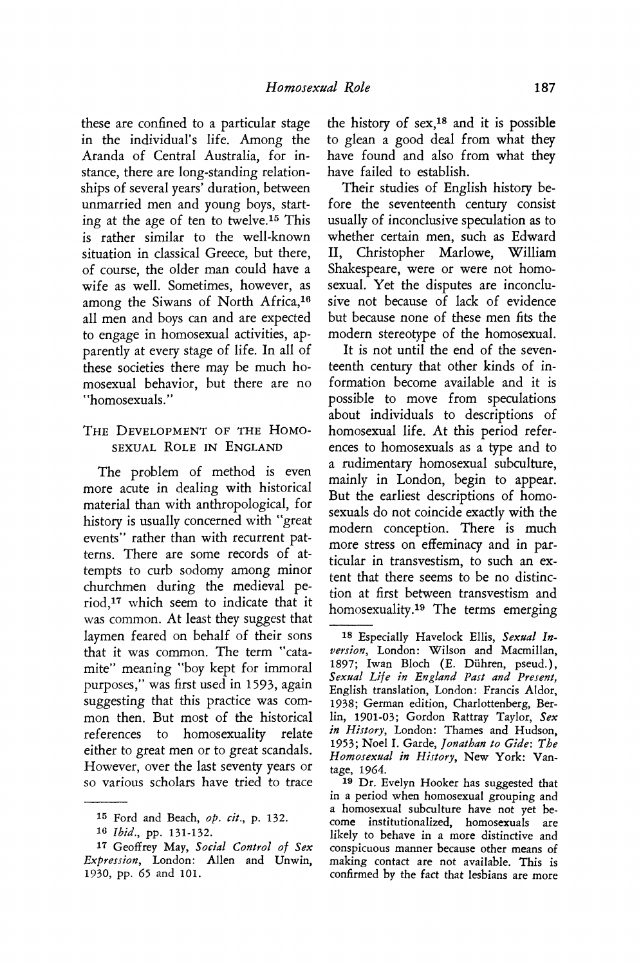these are confined to a particular stage in the individual's life. Among the Aranda of Central Australia, for instance, there are long-standing relationships of several years' duration, between unmarried men and young boys, starting at the age of ten to twelve.15 This is rather similar to the well-known situation in classical Greece, but there, of course, the older man could have a wife as well. Sometimes, however, as among the Siwans of North Africa,<sup>16</sup> all men and boys can and are expected to engage in homosexual activities, apparently at every stage of life. In all of these societies there may be much homosexual behavior, but there are no "homosexuals."

## THE DEVELOPMENT OF THE HOMO-SEXUAL ROLE IN ENGLAND

The problem of method is even more acute in dealing with historical material than with anthropological, for history is usually concerned with "great events" rather than with recurrent patterns. There are some records of attempts to curb sodomy among minor churchmen during the medieval period,<sup>17</sup> which seem to indicate that it was common. At least they suggest that laymen feared on behalf of their sons that it was common. The term "catamite" meaning "boy kept for immoral purposes," was first used in 1593, again suggesting that this practice was common then. But most of the historical references to homosexuality relate either to great men or to great scandals. However, over the last seventy years or so various scholars have tried to trace

the history of  $sex<sup>18</sup>$  and it is possible to glean a good deal from what they have found and also from what they have failed to establish.

Their studies of English history before the seventeenth century consist usually of inconclusive speculation as to whether certain men, such as Edward 11, Christopher Marlowe, William Shakespeare, were or were not homosexual. Yet the disputes are inconclusive not because of lack of evidence but because none of these men fits the modern stereotype of the homosexual.

It is not until the end of the seventeenth century that other kinds of information become available and it is possible to move from speculations about individuals to descriptions of homosexual life. At this period references to homosexuals as a type and to a rudimentary homosexual subculture, mainly in London, begin to appear. But the earliest descriptions of homosexuals do not coincide exactly with the modern conception. There is much more stress on effeminacy and in particular in transvestism, to such an extent that there seems to be no distinction at first between transvestism and homosexuality.<sup>19</sup> The terms emerging

**<sup>15</sup>** Ford and Beach, *op. cit.,* p. 132.

**<sup>16</sup>** *Ibid.,* pp. 131-132.

**<sup>17</sup>** Geoffrey May, *Social Control of Sex Expression,* London: Allen and Unwin, 1930, pp. 65 and 101.

<sup>1</sup>s Especially Havelock Ellis, *Sexual Inversion,* London: Wilson and Macmillan, 1897; Iwan Bloch (E. Diihren, pseud.), *Sexual Life in England Past and Present,*  English translation, London: Francis Aldor, 1938; German edition, Charlottenberg, Berlin, 1901-03; Gordon Rattray Taylor, *Sex*  in *History,* London: Thames and Hudson, 1953; Noel I. Garde, *Jonathan to Gide: The Homosexual in History,* New York: Vantage, 1964.

<sup>19</sup> Dr. Evelyn Hooker has suggested that in a period when homosexual grouping and a homosexual subculture have not yet become institutionalized, homosexuals are likely to behave in a more distinctive and conspicuous manner because other means of making contact are not available. This is confirmed by the fact that lesbians are more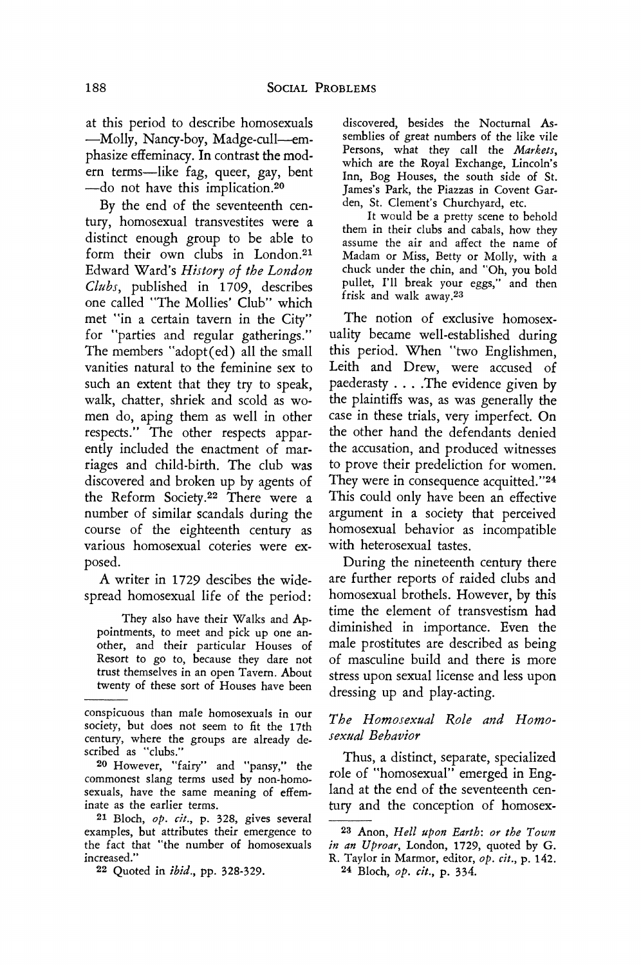at this period to describe homosexuals -Molly, Nancy-boy, Madge-cull-emphasize effeminacy. In contrast the modern terms-like fag, queer, gay, bent -do not have this implication.<sup>20</sup>

By the end of the seventeenth century, homosexual transvestites were a distinct enough group to be able to form their own clubs in London.21 Edward Ward's *History of the London Clubs*, published in 1709, describes one called "The Mollies' Club" which met "in a certain tavern in the City" for "parties and regular gatherings." The members "adopt(ed) all the small vanities natural to the feminine sex to such an extent that they try to speak, walk, chatter, shriek and scold as women do, aping them as well in other respects." The other respects apparently included the enactment of marriages and child-birth. The club was discovered and broken up by agents of the Reform Society.<sup>22</sup> There were a number of similar scandals during the course of the eighteenth century as various homosexual coteries were exposed.

A writer in 1729 descibes the widespread homosexual life of the period:

They also have their Walks and Appointments, to meet and pick up one another, and their particular Houses of Resort to go to, because they dare not trust themselves in an open Tavern. About twenty of these sort of Houses have been

*20* However, "fairy" and "pansy," the commonest slang terms used by non-homosexuals, have the same meaning of effeminate as the earlier terms.

21 Bloch, op. *cit.,* p. **328,** gives several examples, but attributes their emergence to the fact that "the number of homosexuals increased."

**22** Quoted in *ibid.,* pp. **328-329.** 

discovered, besides the Nocturnal Assemblies of great numbers of the like vile Persons, what they call the *Markets*, which are the Royal Exchange, Lincoln's Inn, Bog Houses, the south side of St. James's Park, the Piazzas in Covent Garden, St. Clement's Churchyard, etc.

It wculd be a pretty scene to behold them in their clubs and cabals, how they assume the air and affect the name of Madam or Miss, Betty or Molly, with a chuck under the chin, and "Oh, you bold pullet, I'll break your eggs," and then frisk and walk away.<sup>23</sup>

The notion of exclusive homosexuality became well-established during this period. When "two Englishmen, Leith and Drew, were accused of paederasty . . . .The evidence given by the plaintiffs was, as was generally the case in these trials, very imperfect. On the other hand the defendants denied the accusation, and produced witnesses to prove their predeliction for women. They were in consequence acquitted."<sup>24</sup> This could only have been an effective argument in a society that perceived homosexual behavior as incompatible with heterosexual tastes.

During the nineteenth century there are further reports of raided clubs and homosexual brothels. However, by this time the element of transvestism had diminished in importance. Even the male prostitutes are described as being of masculine build and there is more stress upon sexual license and less upon dressing up and play-acting.

## The Homosexual Role and Homo*sexlndl Behavior*

Thus, a distinct, separate, specialized role of "homosexual" emerged in England at the end of the seventeenth century and the conception of homosex-

conspicuous than male homosexuals in our society, but does not seem to fit the 17th century, where the groups are already described as "clubs."

**<sup>23</sup>**Anon, Hell *upon Earth: or the Tou'n in an Uproar,* London, **1729,** quoted by **G.**  R. Taylor in Marmor, editor, *op. cit.,* p. **142.**  24 Bloch, *op. cit.,* p. **334.**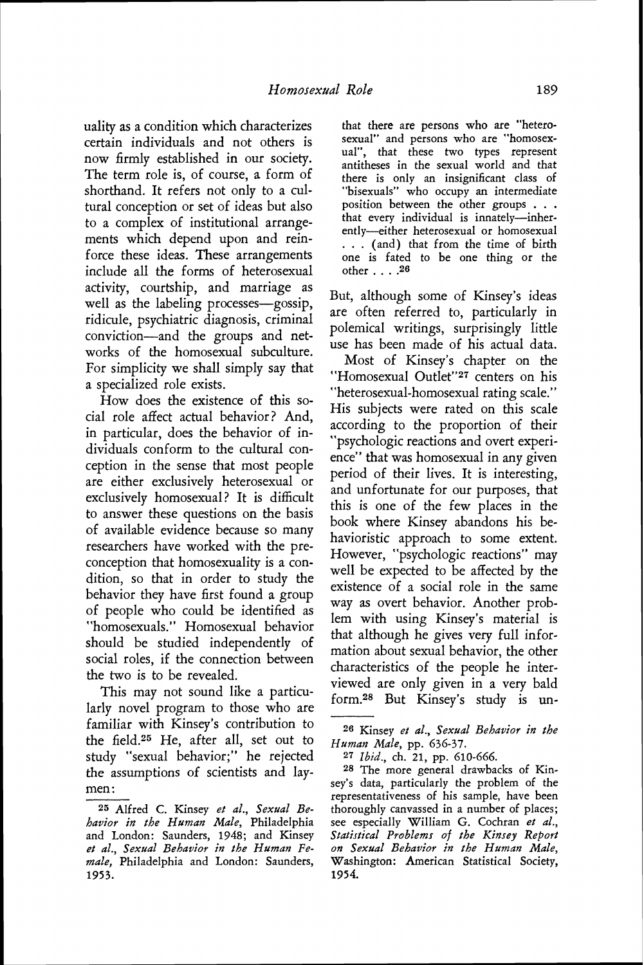ualitv as a condition which characterizes certain individuals and not others is now firmly established in our society. The term role is, of course, a form of shorthand. It refers not only to a cultural conception or set of ideas but also to a complex of institutional arrangements which depend upon and reinforce these ideas. These arrangements include all the forms of heterosexual activity, courtship, and marriage as well as the labeling processes-gossip, ridicule, psychiatric diagnosis, criminal conviction-and the groups and networks of the homosexual subculture. For simplicity we shall simply say that a specialized role exists.

How does the existence of this social role affect actual behavior? And, in particular, does the behavior of individuals conform to the cultural conception in the sense that most people are either exclusively heterosexual or exclusively homosexual? It is difficult to answer these questions on the basis of available evidence because so many researchers have worked with the preconception that homosexuality is a condition, so that in order to study the behavior they have first found a group of people who could be identified as "homosexuals." Homosexual behavior should be studied independently of social roles, if the connection between the two is to be revealed.

This may not sound like a particularly novel program to those who are familiar with Kinsey's contribution to the field.25 He, after all, set out to study "sexual behavior;" he rejected the assumptions of scientists and laymen :

that there are persons who are "heterosexual" and persons who are "homosexual", that these two types represent antitheses in the sexual world and that there is only an insignificant class of "bisexuals" who occupy an intermediate position between the other groups . . . that every individual is innately-inherently-either heterosexual or homosexual . . . (and) that from the time of birth one is fated to be one thing or the other . . ..26

But, although some of Kinsey's ideas are often referred to, particularly in polemical writings, surprisingly little use has been made of his actual data.

Most of Kinsey's chapter on the "Homosexual Outlet"<sup>27</sup> centers on his "heterosexual-homosexual rating scale." His subjects were rated on this scale according to the proportion of their "psychologic reactions and overt experience'' that was homosexual in any given period of their lives. It is interesting, and unfortunate for our purposes, that this is one of the few places in the book where Kinsey abandons his behavioristic approach to some extent. However, "psychologic reactions" may well be expected to be affected by the existence of a social role in the same way as overt behavior. Another problem with using Kinsey's material is that although he gives very full information about sexual behavior, the other characteristics of the people he interviewed are only given in a very bald form.<sup>28</sup> But Kinsey's study is un-

2s The more general drawbacks of Kinsey's data, particularly the problem of the representativeness of his sample, have been thoroughly canvassed in a number of places; see especially William G. Cochran *et* **al.,**  *Statistical Problems of the Kinsey Report on Sexual Behavior in the Human Male,*  Washington: American Statistical Society, 1954.

<sup>25</sup> Alfred C. Kinsey *et al., Sexual Behavior in the Human Male,* Philadelphia and London: Saunders, 1948; and Kinsey *et al., Sexual Behavior in the Human Female,* Philadelphia and London: Saunders, 1953.

<sup>26</sup> Kinsey *et al., Sexual Behavior in the Human Male,* pp. 636-37.

**<sup>27</sup>***Ibid.,* ch. 21, pp. 610-666.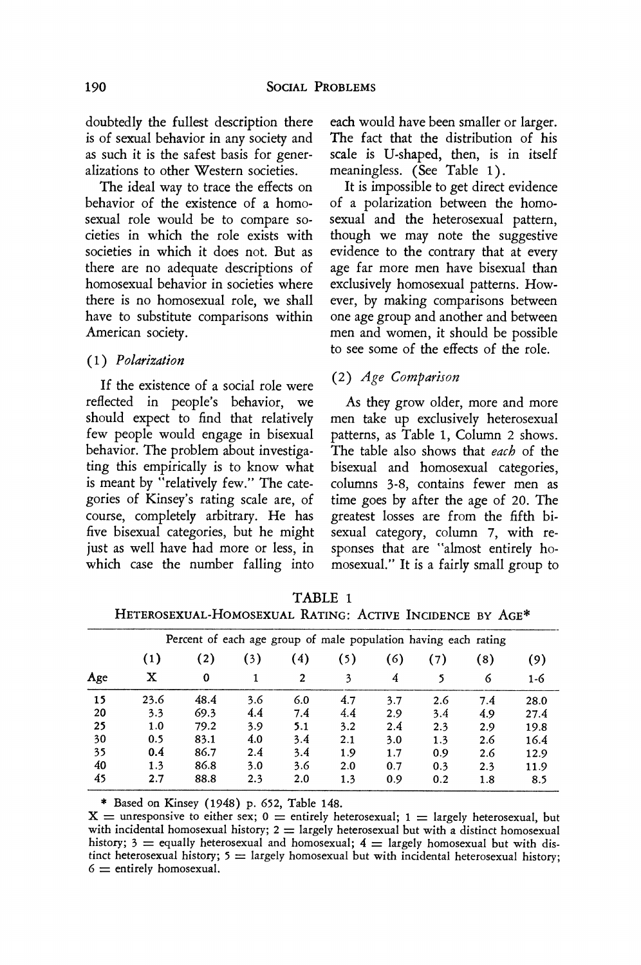doubtedly the fullest description there is of sexual behavior in any society and as such it is the safest basis for generalizations to other Western societies.

The ideal way to trace the effects on behavior of the existence of a homosexual role would be to compare societies in which the role exists with societies in which it does not. But as there are no adequate descriptions of homosexual behavior in societies where there is no homosexual role, we shall have to substitute comparisons within American society.

#### (*<sup>1</sup>* ) *Polarization*

If the existence of a social role were reflected in people's behavior, we should expect to find that relatively few people would engage in bisexual behavior. The problem about investigating this empirically is to know what is meant by "relatively few." The categories of Kinsey's rating scale are, of course, completely arbitrary. He has five bisexual categories, but he might just as well have had more or less, in which case the number falling into

each would have been smaller or larger. The fact that the distribution of his scale is U-shaped, then, is in itself meaningless. (See Table 1).

It is impossible to get direct evidence of a polarization between the homosexual and the heterosexual pattern, though we may note the suggestive evidence to the contrary that at every age far more men have bisexual than exclusively homosexual patterns. However, by making comparisons between one age group and another and between men and women, it should be possible to see some of the effects of the role.

## *(2) Age Comparison*

As they grow older, more and more men take up exclusively heterosexual patterns, as Table **1,** Column 2 shows. The table also shows that *each* of the bisexual and homosexual categories, columns 3-8, contains fewer men as time goes by after the age of 20. The greatest losses are from the fifth bisexual category, column 7, with responses that are "almost entirely homosexual." It is a fairly small group to

|     | Percent of each age group of male population having each rating |      |     |                |     |     |     |     |      |
|-----|-----------------------------------------------------------------|------|-----|----------------|-----|-----|-----|-----|------|
|     | (1)                                                             | (2)  | (3) | (4)            | (5) | (6) | (7) | (8) | (9)  |
| Age | x                                                               | 0    |     | $\overline{c}$ | 3   | 4   | 5   | 6   | 1-6  |
| 15  | 23.6                                                            | 48.4 | 3.6 | 6.0            | 4.7 | 3.7 | 2.6 | 7.4 | 28.0 |
| 20  | 3.3                                                             | 69.3 | 4.4 | 7.4            | 4.4 | 2.9 | 3.4 | 4.9 | 27.4 |
| 25  | 1.0                                                             | 79.2 | 3.9 | 5.1            | 3.2 | 2.4 | 2.3 | 2.9 | 19.8 |
| 30  | 0.5                                                             | 83.1 | 4.0 | 3.4            | 2.1 | 3.0 | 1.3 | 2.6 | 16.4 |
| 35  | 0.4                                                             | 86.7 | 2.4 | 3.4            | 1.9 | 1.7 | 0.9 | 2.6 | 12.9 |
| 40  | 1.3                                                             | 86.8 | 3.0 | 3.6            | 2.0 | 0.7 | 0.3 | 2.3 | 11.9 |
| 45  | 2.7                                                             | 88.8 | 2.3 | 2.0            | 1.3 | 0.9 | 0.2 | 1.8 | 8.5  |

TABLE **1** 

HETEROSEXUAL-HOMOSEXUAL RATING: ACTIVE INCIDENCE BY AGE\*

\* Based on Kinsey (1948) p. **652,** Table 148.

 $X=$  unresponsive to either sex;  $0 =$  entirely heterosexual;  $1 =$  largely heterosexual, but with incidental homosexual history;  $2 =$  largely heterosexual but with a distinct homosexual history; 3 = equally heterosexual and homosexual;  $4$  = largely homosexual but with distinct heterosexual history;  $5 =$  largely homosexual but with incidental heterosexual history;  $6 \equiv$  entirely homosexual.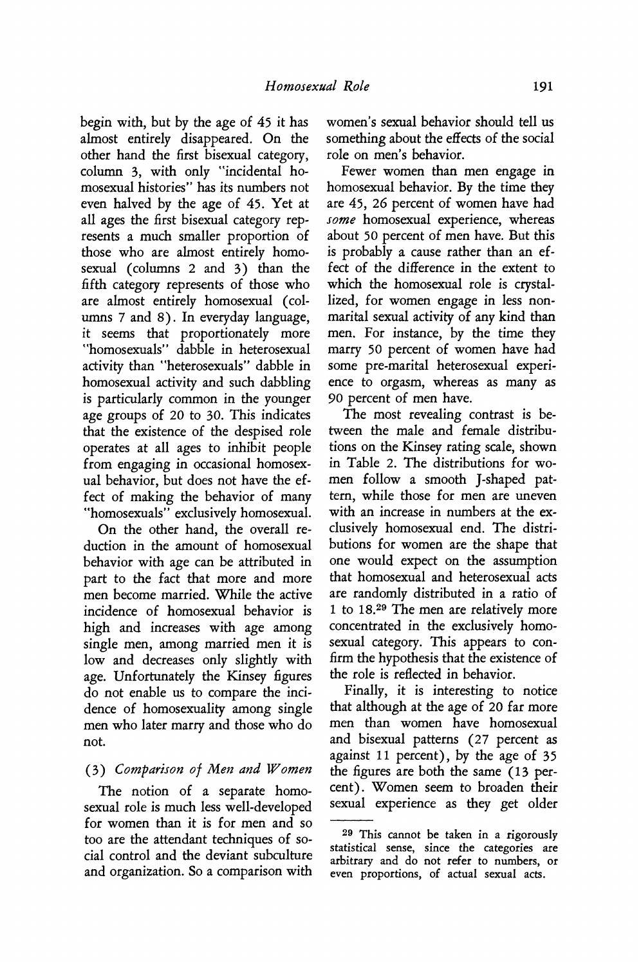begin with, but by the age of 45 it has almost entirely disappeared. On the other hand the first bisexual category, column 3, with only "incidental homosexual histories" has its numbers not even halved by the age of 45. Yet at all ages the first bisexual category represents a much smaller proportion of those who are almost entirely homosexual (columns 2 and 3) than the fifth category represents of those who are almost entirely homosexual (columns 7 and 8). In everyday language, it seems that proportionately more "homosexuals" dabble in heterosexual activity than "heterosexuals" dabble in homosexual activity and such dabbling is particularly common in the younger age groups of 20 to 30. This indicates that the existence of the despised role operates at all ages to inhibit people from engaging in occasional homosexual behavior, but does not have the effect of making the behavior of many "homosexuals" exclusively homosexual.

On the other hand, the overall reduction in the amount of homosexual behavior with age can be attributed in part to the fact that more and more men become married. While the active incidence of homosexual behavior is high and increases with age among single men, among married men it is low and decreases only slightly with age. Unfortunately the Kinsey figures do not enable us to compare the incidence of homosexuality among single men who later marry and those who do not.

## (3) *Comparison of Men and Women*

The notion of a separate homosexual role is much less well-developed for women than it is for men and so too are the attendant techniques of social control and the deviant subculture and organization. So a comparison with

women's sexual behavior should tell us something about the effects of the social role on men's behavior.

Fewer women than men engage in homosexual behavior. By the time they are 45, 26 percent of women have had *some* homosexual experience, whereas about 50 percent of men have. But this is probably a cause rather than an effect of the difference in the extent to which the homosexual role is crystallized, for women engage in less nonmarital sexual activity of any kind than men. For instance, by the time they marry 50 percent of women have had some pre-marital heterosexual experience to orgasm, whereas as many as 90 percent of men have.

The most revealing contrast is between the male and female distributions on the Kinsey rating scale, shown in Table 2. The distributions for women follow a smooth J-shaped pattern, while those for men are uneven with an increase in numbers at the exclusively homosexual end. The distributions for women are the shape that one would expect on the assumption that homosexual and heterosexual acts are randomly distributed in a ratio of 1 to 18.29 The men are relatively more concentrated in the exclusively homosexual category. This appears to confirm the hypothesis that the existence of the role is reflected in behavior.

Finally, it is interesting to notice that although at the age of 20 far more men than women have homosexual and bisexual patterns (27 percent as against 11 percent), by the age of 35 the figures are both the same (13 percent). Women seem to broaden their sexual experience as they get older

<sup>29</sup> This cannot be taken in a rigorously statistical sense, since the categories are arbitrary and do not refer to numbers, or even proportions, of actual sexual acts.